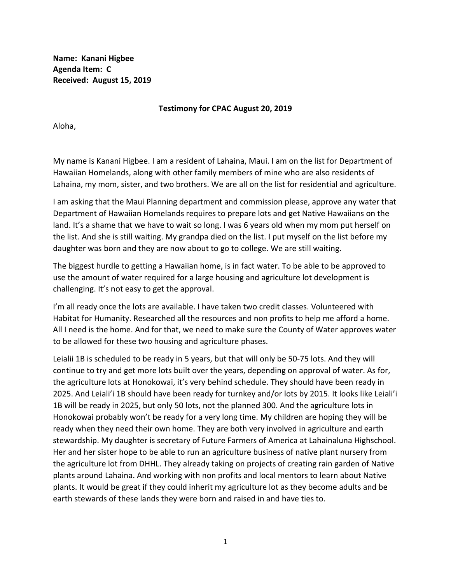**Name: Kanani Higbee Agenda Item: C Received: August 15, 2019**

**Testimony for CPAC August 20, 2019**

Aloha,

My name is Kanani Higbee. I am a resident of Lahaina, Maui. I am on the list for Department of Hawaiian Homelands, along with other family members of mine who are also residents of Lahaina, my mom, sister, and two brothers. We are all on the list for residential and agriculture.

I am asking that the Maui Planning department and commission please, approve any water that Department of Hawaiian Homelands requires to prepare lots and get Native Hawaiians on the land. It's a shame that we have to wait so long. I was 6 years old when my mom put herself on the list. And she is still waiting. My grandpa died on the list. I put myself on the list before my daughter was born and they are now about to go to college. We are still waiting.

The biggest hurdle to getting a Hawaiian home, is in fact water. To be able to be approved to use the amount of water required for a large housing and agriculture lot development is challenging. It's not easy to get the approval.

I'm all ready once the lots are available. I have taken two credit classes. Volunteered with Habitat for Humanity. Researched all the resources and non profits to help me afford a home. All I need is the home. And for that, we need to make sure the County of Water approves water to be allowed for these two housing and agriculture phases.

Leialii 1B is scheduled to be ready in 5 years, but that will only be 50-75 lots. And they will continue to try and get more lots built over the years, depending on approval of water. As for, the agriculture lots at Honokowai, it's very behind schedule. They should have been ready in 2025. And Leiali'i 1B should have been ready for turnkey and/or lots by 2015. It looks like Leiali'i 1B will be ready in 2025, but only 50 lots, not the planned 300. And the agriculture lots in Honokowai probably won't be ready for a very long time. My children are hoping they will be ready when they need their own home. They are both very involved in agriculture and earth stewardship. My daughter is secretary of Future Farmers of America at Lahainaluna Highschool. Her and her sister hope to be able to run an agriculture business of native plant nursery from the agriculture lot from DHHL. They already taking on projects of creating rain garden of Native plants around Lahaina. And working with non profits and local mentors to learn about Native plants. It would be great if they could inherit my agriculture lot as they become adults and be earth stewards of these lands they were born and raised in and have ties to.